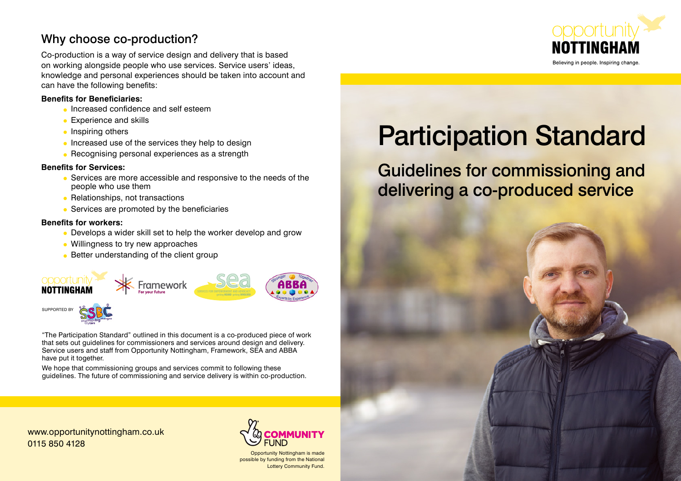## Why choose co-production?

Co-production is a way of service design and delivery that is based on working alongside people who use services. Service users' ideas, knowledge and personal experiences should be taken into account and can have the following benefits:

#### **Benefits for Beneficiaries:**

- Increased confidence and self esteem
- Experience and skills
- Inspiring others
- Increased use of the services they help to design
- Recognising personal experiences as a strength

#### **Benefits for Services:**

- Services are more accessible and responsive to the needs of the people who use them
- Relationships, not transactions
- Services are promoted by the beneficiaries

#### **Benefits for workers:**

- Develops a wider skill set to help the worker develop and grow
- Willingness to try new approaches
- Better understanding of the client group



"The Participation Standard" outlined in this document is a co-produced piece of work that sets out guidelines for commissioners and services around design and delivery. Service users and staff from Opportunity Nottingham, Framework, SEA and ABBA have put it together.

We hope that commissioning groups and services commit to following these guidelines. The future of commissioning and service delivery is within co-production.



# Participation Standard

Guidelines for commissioning and delivering a co-produced service



www.opportunitynottingham.co.uk 0115 850 4128



Opportunity Nottingham is made possible by funding from the National Lottery Community Fund.